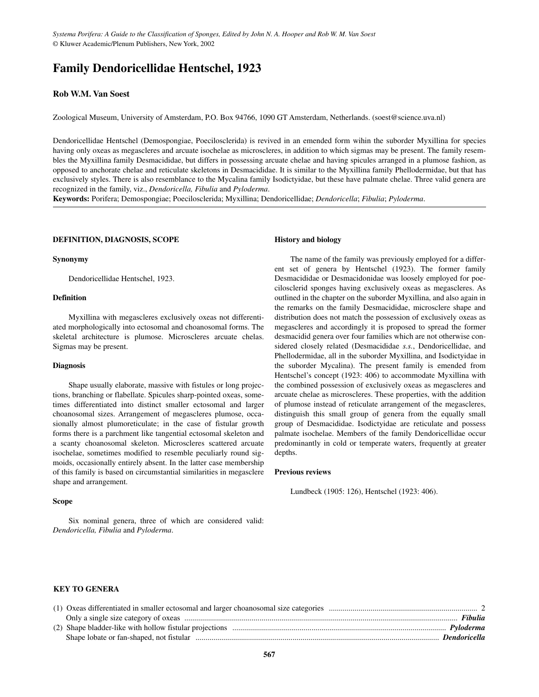# **Family Dendoricellidae Hentschel, 1923**

## **Rob W.M. Van Soest**

Zoological Museum, University of Amsterdam, P.O. Box 94766, 1090 GT Amsterdam, Netherlands. (soest@science.uva.nl)

Dendoricellidae Hentschel (Demospongiae, Poecilosclerida) is revived in an emended form wihin the suborder Myxillina for species having only oxeas as megascleres and arcuate isochelae as microscleres, in addition to which sigmas may be present. The family resembles the Myxillina family Desmacididae, but differs in possessing arcuate chelae and having spicules arranged in a plumose fashion, as opposed to anchorate chelae and reticulate skeletons in Desmacididae. It is similar to the Myxillina family Phellodermidae, but that has exclusively styles. There is also resemblance to the Mycalina family Isodictyidae, but these have palmate chelae. Three valid genera are recognized in the family, viz., *Dendoricella, Fibulia* and *Pyloderma*.

**Keywords:** Porifera; Demospongiae; Poecilosclerida; Myxillina; Dendoricellidae; *Dendoricella*; *Fibulia*; *Pyloderma*.

#### **DEFINITION, DIAGNOSIS, SCOPE**

#### **Synonymy**

Dendoricellidae Hentschel, 1923.

## **Definition**

Myxillina with megascleres exclusively oxeas not differentiated morphologically into ectosomal and choanosomal forms. The skeletal architecture is plumose. Microscleres arcuate chelas. Sigmas may be present.

#### **Diagnosis**

Shape usually elaborate, massive with fistules or long projections, branching or flabellate. Spicules sharp-pointed oxeas, sometimes differentiated into distinct smaller ectosomal and larger choanosomal sizes. Arrangement of megascleres plumose, occasionally almost plumoreticulate; in the case of fistular growth forms there is a parchment like tangential ectosomal skeleton and a scanty choanosomal skeleton. Microscleres scattered arcuate isochelae, sometimes modified to resemble peculiarly round sigmoids, occasionally entirely absent. In the latter case membership of this family is based on circumstantial similarities in megasclere shape and arrangement.

#### **Scope**

Six nominal genera, three of which are considered valid: *Dendoricella, Fibulia* and *Pyloderma*.

#### **History and biology**

The name of the family was previously employed for a different set of genera by Hentschel (1923). The former family Desmacididae or Desmacidonidae was loosely employed for poecilosclerid sponges having exclusively oxeas as megascleres. As outlined in the chapter on the suborder Myxillina, and also again in the remarks on the family Desmacididae, microsclere shape and distribution does not match the possession of exclusively oxeas as megascleres and accordingly it is proposed to spread the former desmacidid genera over four families which are not otherwise considered closely related (Desmacididae *s.s.*, Dendoricellidae, and Phellodermidae, all in the suborder Myxillina, and Isodictyidae in the suborder Mycalina). The present family is emended from Hentschel's concept (1923: 406) to accommodate Myxillina with the combined possession of exclusively oxeas as megascleres and arcuate chelae as microscleres. These properties, with the addition of plumose instead of reticulate arrangement of the megascleres, distinguish this small group of genera from the equally small group of Desmacididae. Isodictyidae are reticulate and possess palmate isochelae. Members of the family Dendoricellidae occur predominantly in cold or temperate waters, frequently at greater depths.

#### **Previous reviews**

Lundbeck (1905: 126), Hentschel (1923: 406).

# **KEY TO GENERA**

|  | <b>Dendoricella</b> |
|--|---------------------|
|  |                     |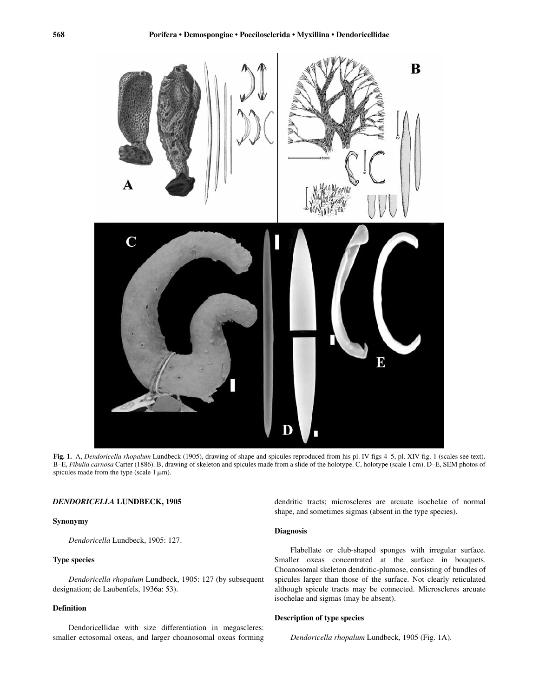

**Fig. 1.** A, *Dendoricella rhopalum* Lundbeck (1905), drawing of shape and spicules reproduced from his pl. IV figs 4–5, pl. XIV fig. 1 (scales see text). B–E, *Fibulia carnosa* Carter (1886). B, drawing of skeleton and spicules made from a slide of the holotype. C, holotype (scale 1 cm). D–E, SEM photos of spicules made from the type (scale  $1 \mu m$ ).

#### *DENDORICELLA* **LUNDBECK, 1905**

**Synonymy**

*Dendoricella* Lundbeck, 1905: 127.

## **Type species**

*Dendoricella rhopalum* Lundbeck, 1905: 127 (by subsequent designation; de Laubenfels, 1936a: 53).

# **Definition**

Dendoricellidae with size differentiation in megascleres: smaller ectosomal oxeas, and larger choanosomal oxeas forming dendritic tracts; microscleres are arcuate isochelae of normal shape, and sometimes sigmas (absent in the type species).

#### **Diagnosis**

Flabellate or club-shaped sponges with irregular surface. Smaller oxeas concentrated at the surface in bouquets. Choanosomal skeleton dendritic-plumose, consisting of bundles of spicules larger than those of the surface. Not clearly reticulated although spicule tracts may be connected. Microscleres arcuate isochelae and sigmas (may be absent).

#### **Description of type species**

*Dendoricella rhopalum* Lundbeck, 1905 (Fig. 1A).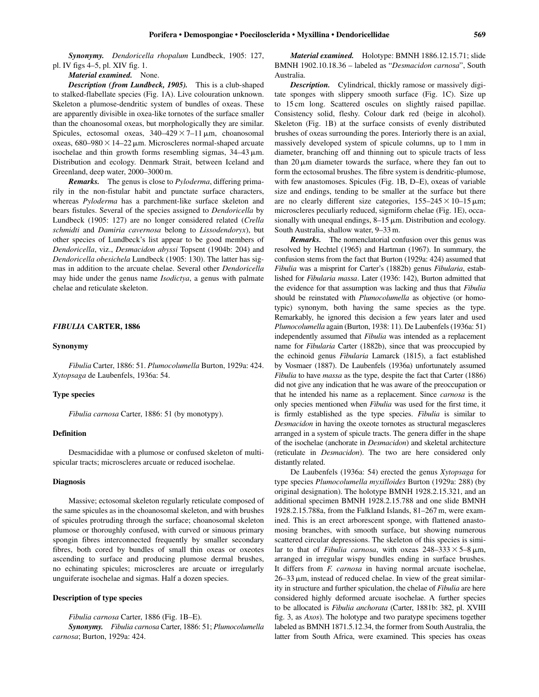*Synonymy. Dendoricella rhopalum* Lundbeck, 1905: 127, pl. IV figs 4–5, pl. XIV fig. 1.

#### *Material examined.* None.

*Description (from Lundbeck, 1905).* This is a club-shaped to stalked-flabellate species (Fig. 1A). Live colouration unknown. Skeleton a plumose-dendritic system of bundles of oxeas. These are apparently divisible in oxea-like tornotes of the surface smaller than the choanosomal oxeas, but morphologically they are similar. Spicules, ectosomal oxeas,  $340-429 \times 7-11 \,\mu m$ , choanosomal oxeas,  $680 - 980 \times 14 - 22 \mu m$ . Microscleres normal-shaped arcuate isochelae and thin growth forms resembling sigmas,  $34-43 \mu m$ . Distribution and ecology. Denmark Strait, between Iceland and Greenland, deep water, 2000–3000 m.

*Remarks.* The genus is close to *Pyloderma*, differing primarily in the non-fistular habit and punctate surface characters, whereas *Pyloderma* has a parchment-like surface skeleton and bears fistules. Several of the species assigned to *Dendoricella* by Lundbeck (1905: 127) are no longer considered related (*Crella schmidti* and *Damiria cavernosa* belong to *Lissodendoryx*), but other species of Lundbeck's list appear to be good members of *Dendoricella*, viz., *Desmacidon abyssi* Topsent (1904b: 204) and *Dendoricella obesichela* Lundbeck (1905: 130). The latter has sigmas in addition to the arcuate chelae. Several other *Dendoricella* may hide under the genus name *Isodictya*, a genus with palmate chelae and reticulate skeleton.

#### *FIBULIA* **CARTER, 1886**

#### **Synonymy**

*Fibulia* Carter, 1886: 51. *Plumocolumella* Burton, 1929a: 424. *Xytopsaga* de Laubenfels, 1936a: 54.

#### **Type species**

*Fibulia carnosa* Carter, 1886: 51 (by monotypy).

## **Definition**

Desmacididae with a plumose or confused skeleton of multispicular tracts; microscleres arcuate or reduced isochelae.

#### **Diagnosis**

Massive; ectosomal skeleton regularly reticulate composed of the same spicules as in the choanosomal skeleton, and with brushes of spicules protruding through the surface; choanosomal skeleton plumose or thoroughly confused, with curved or sinuous primary spongin fibres interconnected frequently by smaller secondary fibres, both cored by bundles of small thin oxeas or oxeotes ascending to surface and producing plumose dermal brushes, no echinating spicules; microscleres are arcuate or irregularly unguiferate isochelae and sigmas. Half a dozen species.

#### **Description of type species**

*Fibulia carnosa* Carter, 1886 (Fig. 1B–E).

*Synonymy. Fibulia carnosa* Carter, 1886: 51; *Plumocolumella carnosa*; Burton, 1929a: 424.

*Material examined.* Holotype: BMNH 1886.12.15.71; slide BMNH 1902.10.18.36 – labeled as "*Desmacidon carnosa*", South Australia.

*Description.* Cylindrical, thickly ramose or massively digitate sponges with slippery smooth surface (Fig. 1C). Size up to 15 cm long. Scattered oscules on slightly raised papillae. Consistency solid, fleshy. Colour dark red (beige in alcohol). Skeleton (Fig. 1B) at the surface consists of evenly distributed brushes of oxeas surrounding the pores. Interiorly there is an axial, massively developed system of spicule columns, up to 1 mm in diameter, branching off and thinning out to spicule tracts of less than  $20 \mu m$  diameter towards the surface, where they fan out to form the ectosomal brushes. The fibre system is dendritic-plumose, with few anastomoses. Spicules (Fig. 1B, D–E), oxeas of variable size and endings, tending to be smaller at the surface but there are no clearly different size categories,  $155-245 \times 10-15 \,\mu \text{m}$ ; microscleres peculiarly reduced, sigmiform chelae (Fig. 1E), occasionally with unequal endings,  $8-15 \mu m$ . Distribution and ecology. South Australia, shallow water, 9–33 m.

*Remarks.* The nomenclatorial confusion over this genus was resolved by Hechtel (1965) and Hartman (1967). In summary, the confusion stems from the fact that Burton (1929a: 424) assumed that *Fibulia* was a misprint for Carter's (1882b) genus *Fibularia*, established for *Fibularia massa*. Later (1936: 142), Burton admitted that the evidence for that assumption was lacking and thus that *Fibulia* should be reinstated with *Plumocolumella* as objective (or homotypic) synonym, both having the same species as the type. Remarkably, he ignored this decision a few years later and used *Plumocolumella* again (Burton, 1938: 11). De Laubenfels (1936a: 51) independently assumed that *Fibulia* was intended as a replacement name for *Fibularia* Carter (1882b), since that was preoccupied by the echinoid genus *Fibularia* Lamarck (1815), a fact established by Vosmaer (1887). De Laubenfels (1936a) unfortunately assumed *Fibulia* to have *massa* as the type, despite the fact that Carter (1886) did not give any indication that he was aware of the preoccupation or that he intended his name as a replacement. Since *carnosa* is the only species mentioned when *Fibulia* was used for the first time, it is firmly established as the type species. *Fibulia* is similar to *Desmacidon* in having the oxeote tornotes as structural megascleres arranged in a system of spicule tracts. The genera differ in the shape of the isochelae (anchorate in *Desmacidon*) and skeletal architecture (reticulate in *Desmacidon*). The two are here considered only distantly related.

De Laubenfels (1936a: 54) erected the genus *Xytopsaga* for type species *Plumocolumella myxilloides* Burton (1929a: 288) (by original designation). The holotype BMNH 1928.2.15.321, and an additional specimen BMNH 1928.2.15.788 and one slide BMNH 1928.2.15.788a, from the Falkland Islands, 81–267 m, were examined. This is an erect arborescent sponge, with flattened anastomosing branches, with smooth surface, but showing numerous scattered circular depressions. The skeleton of this species is similar to that of *Fibulia carnosa*, with oxeas  $248-333 \times 5-8 \,\mu \text{m}$ , arranged in irregular wispy bundles ending in surface brushes. It differs from *F. carnosa* in having normal arcuate isochelae, 26–33  $\mu$ m, instead of reduced chelae. In view of the great similarity in structure and further spiculation, the chelae of *Fibulia* are here considered highly deformed arcuate isochelae. A further species to be allocated is *Fibulia anchorata* (Carter, 1881b: 382, pl. XVIII fig. 3, as *Axos*). The holotype and two paratype specimens together labeled as BMNH 1871.5.12.34, the former from South Australia, the latter from South Africa, were examined. This species has oxeas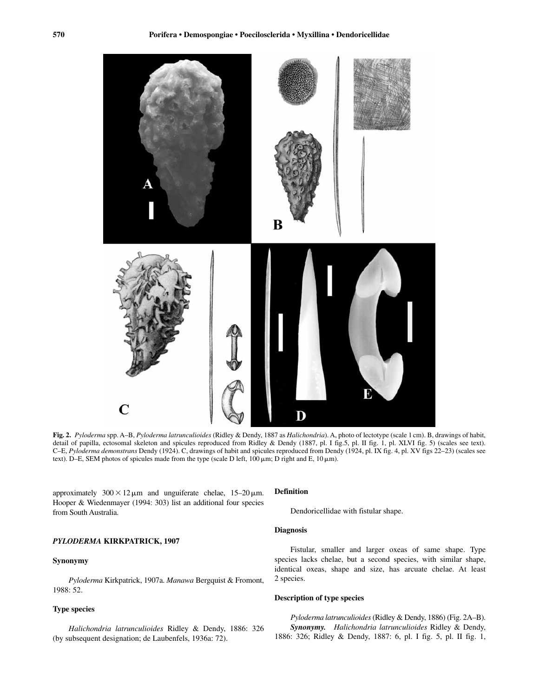

**Fig. 2.** *Pyloderma* spp. A–B, *Pyloderma latrunculioides* (Ridley & Dendy, 1887 as *Halichondria*). A, photo of lectotype (scale 1 cm). B, drawings of habit, detail of papilla, ectosomal skeleton and spicules reproduced from Ridley & Dendy (1887, pl. I fig.5, pl. II fig. 1, pl. XLVI fig. 5) (scales see text). C–E, *Pyloderma demonstrans* Dendy (1924). C, drawings of habit and spicules reproduced from Dendy (1924, pl. IX fig. 4, pl. XV figs 22–23) (scales see text). D–E, SEM photos of spicules made from the type (scale D left,  $100 \,\mu m$ ; D right and E,  $10 \,\mu m$ ).

approximately  $300 \times 12 \mu m$  and unguiferate chelae,  $15-20 \mu m$ . Hooper & Wiedenmayer (1994: 303) list an additional four species from South Australia.

## *PYLODERMA* **KIRKPATRICK, 1907**

#### **Synonymy**

*Pyloderma* Kirkpatrick, 1907a. *Manawa* Bergquist & Fromont, 1988: 52.

# **Type species**

*Halichondria latrunculioides* Ridley & Dendy, 1886: 326 (by subsequent designation; de Laubenfels, 1936a: 72).

## **Definition**

Dendoricellidae with fistular shape.

## **Diagnosis**

Fistular, smaller and larger oxeas of same shape. Type species lacks chelae, but a second species, with similar shape, identical oxeas, shape and size, has arcuate chelae. At least 2 species.

#### **Description of type species**

*Pyloderma latrunculioides*(Ridley & Dendy, 1886) (Fig. 2A–B). *Synonymy. Halichondria latrunculioides* Ridley & Dendy, 1886: 326; Ridley & Dendy, 1887: 6, pl. I fig. 5, pl. II fig. 1,